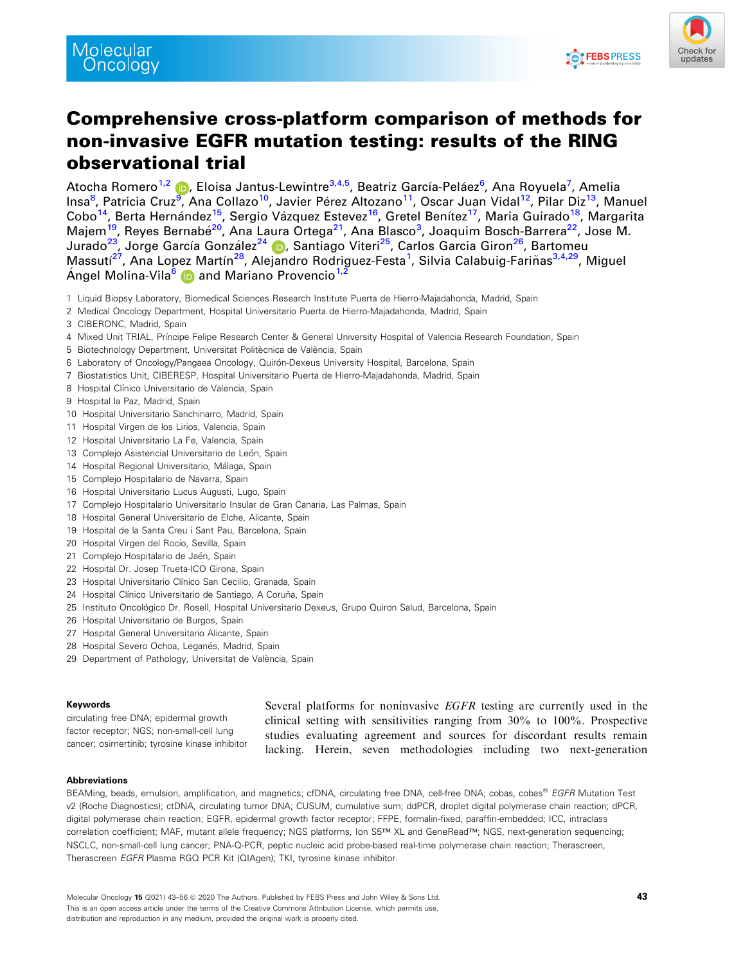



# Comprehensive cross-platform comparison of methods for non-invasive EGFR mutation testing: results of the RING observational trial

Atocha Romero<sup>1,2</sup> (**p**), Eloisa Jantus-Lewintre<sup>3,4,5</sup>, Beatriz García-Peláez<sup>6</sup>, Ana Royuela<sup>7</sup>, Amelia Insa<sup>8</sup>, Patricia Cruz<sup>[9](https://orcid.org/0000-0002-1634-7397)</sup>, Ana Collazo<sup>10</sup>, Javier Pérez Altozano<sup>11</sup>, Oscar Juan Vidal<sup>12</sup>, Pilar Diz<sup>13</sup>, Manuel Cobo<sup>14</sup>, Berta Hernández<sup>15</sup>, Sergio Vázquez Estevez<sup>16</sup>, Gretel Benítez<sup>17</sup>, Maria Guirado<sup>18</sup>, Margarita Majem<sup>19</sup>, Reyes Bernabé<sup>20</sup>, Ana Laura Ortega<sup>21</sup>, Ana Blasco<sup>3</sup>, Joaquim Bosch-Barrera<sup>22</sup>, Jose M. Jurado<sup>23</sup>, Jorge García González<sup>24</sup> (b. Santiago Viteri<sup>25</sup>, Carlos Garcia Giron<sup>26</sup>, Bartomeu Massutí<sup>27</sup>, Ana Lopez Martín<sup>28</sup>, Alejandro Rodriguez-Festa<sup>1</sup>, Silvia Calabuig-Fariñas<sup>3,4,29</sup>, Miguel Angel Molina-Vila<sup>[6](https://orcid.org/0000-0001-8866-9881)</sup> **D** and Mariano Provencio<sup>1,2</sup>

- 1 Liquid Biopsy Laboratory, Biomedical Sciences Research Institute Puerta de Hierro-Majadahonda, Madrid, Spain
- 2 Medical Oncology Department, Hospital Universitario Puerta de Hierro-Majadahonda, Madrid, Spain
- 3 CIBERONC, Madrid, Spain
- 4 Mixed Unit TRIAL, Príncipe Felipe Research Center & General University Hospital of Valencia Research Foundation, Spain
- 5 Biotechnology Department, Universitat Politècnica de València, Spain
- 6 Laboratory of Oncology/Pangaea Oncology, Quirón-Dexeus University Hospital, Barcelona, Spain
- 7 Biostatistics Unit, CIBERESP, Hospital Universitario Puerta de Hierro-Majadahonda, Madrid, Spain
- 8 Hospital Clínico Universitario de Valencia, Spain
- 9 Hospital la Paz, Madrid, Spain
- 10 Hospital Universitario Sanchinarro, Madrid, Spain
- 11 Hospital Virgen de los Lirios, Valencia, Spain
- 12 Hospital Universitario La Fe, Valencia, Spain
- 13 Complejo Asistencial Universitario de León, Spain
- 14 Hospital Regional Universitario, Málaga, Spain
- 15 Complejo Hospitalario de Navarra, Spain
- 16 Hospital Universitario Lucus Augusti, Lugo, Spain
- 17 Complejo Hospitalario Universitario Insular de Gran Canaria, Las Palmas, Spain
- 18 Hospital General Universitario de Elche, Alicante, Spain
- 19 Hospital de la Santa Creu i Sant Pau, Barcelona, Spain
- 20 Hospital Virgen del Rocío, Sevilla, Spain
- 21 Complejo Hospitalario de Jaén, Spain
- 22 Hospital Dr. Josep Trueta-ICO Girona, Spain
- 23 Hospital Universitario Clínico San Cecilio, Granada, Spain
- 24 Hospital Clínico Universitario de Santiago, A Coruña, Spain
- 25 Instituto Oncológico Dr. Rosell, Hospital Universitario Dexeus, Grupo Quiron Salud, Barcelona, Spain
- 26 Hospital Universitario de Burgos, Spain
- 27 Hospital General Universitario Alicante, Spain
- 28 Hospital Severo Ochoa, Leganés, Madrid, Spain
- 29 Department of Pathology, Universitat de València, Spain

#### Keywords

circulating free DNA; epidermal growth factor receptor; NGS; non-small-cell lung cancer; osimertinib; tyrosine kinase inhibitor Several platforms for noninvasive EGFR testing are currently used in the clinical setting with sensitivities ranging from 30% to 100%. Prospective studies evaluating agreement and sources for discordant results remain lacking. Herein, seven methodologies including two next-generation

#### Abbreviations

BEAMing, beads, emulsion, amplification, and magnetics; cfDNA, circulating free DNA, cell-free DNA; cobas, cobas® EGFR Mutation Test v2 (Roche Diagnostics); ctDNA, circulating tumor DNA; CUSUM, cumulative sum; ddPCR, droplet digital polymerase chain reaction; dPCR, digital polymerase chain reaction; EGFR, epidermal growth factor receptor; FFPE, formalin-fixed, paraffin-embedded; ICC, intraclass correlation coefficient; MAF, mutant allele frequency; NGS platforms, Ion S5™ XL and GeneRead™; NGS, next-generation sequencing; NSCLC, non-small-cell lung cancer; PNA-Q-PCR, peptic nucleic acid probe-based real-time polymerase chain reaction; Therascreen, Therascreen EGFR Plasma RGQ PCR Kit (QIAgen); TKI, tyrosine kinase inhibitor.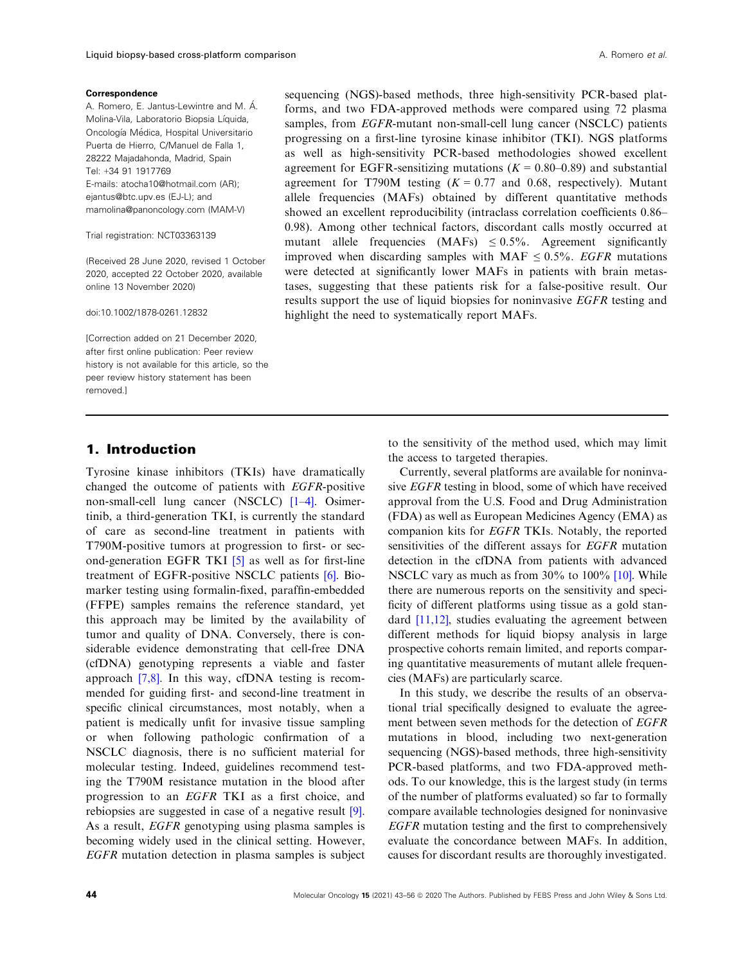#### **Correspondence**

A. Romero, E. Jantus-Lewintre and M. A. Molina-Vila, Laboratorio Biopsia Líquida, Oncologıa Medica, Hospital Universitario Puerta de Hierro, C/Manuel de Falla 1, 28222 Majadahonda, Madrid, Spain Tel: +34 91 1917769 E-mails: [atocha10@hotmail.com](mailto:) (AR); [ejantus@btc.upv.es](mailto:) (EJ-L); and [mamolina@panoncology.com](mailto:) (MAM-V)

Trial registration: NCT03363139

(Received 28 June 2020, revised 1 October 2020, accepted 22 October 2020, available online 13 November 2020)

doi:10.1002/1878-0261.12832

[Correction added on 21 December 2020, after first online publication: Peer review history is not available for this article, so the peer review history statement has been removed.]

### 1. Introduction

Tyrosine kinase inhibitors (TKIs) have dramatically changed the outcome of patients with EGFR-positive non-small-cell lung cancer (NSCLC) [\[1](#page-11-0)–4]. Osimertinib, a third-generation TKI, is currently the standard of care as second-line treatment in patients with T790M-positive tumors at progression to first- or second-generation EGFR TKI [\[5\]](#page-11-0) as well as for first-line treatment of EGFR-positive NSCLC patients [\[6](#page-11-0)]. Biomarker testing using formalin-fixed, paraffin-embedded (FFPE) samples remains the reference standard, yet this approach may be limited by the availability of tumor and quality of DNA. Conversely, there is considerable evidence demonstrating that cell-free DNA (cfDNA) genotyping represents a viable and faster approach [[7,8\]](#page-11-0). In this way, cfDNA testing is recommended for guiding first- and second-line treatment in specific clinical circumstances, most notably, when a patient is medically unfit for invasive tissue sampling or when following pathologic confirmation of a NSCLC diagnosis, there is no sufficient material for molecular testing. Indeed, guidelines recommend testing the T790M resistance mutation in the blood after progression to an EGFR TKI as a first choice, and rebiopsies are suggested in case of a negative result [\[9](#page-11-0)]. As a result, EGFR genotyping using plasma samples is becoming widely used in the clinical setting. However, EGFR mutation detection in plasma samples is subject

sequencing (NGS)-based methods, three high-sensitivity PCR-based platforms, and two FDA-approved methods were compared using 72 plasma samples, from *EGFR*-mutant non-small-cell lung cancer (NSCLC) patients progressing on a first-line tyrosine kinase inhibitor (TKI). NGS platforms as well as high-sensitivity PCR-based methodologies showed excellent agreement for EGFR-sensitizing mutations ( $K = 0.80{\text -}0.89$ ) and substantial agreement for T790M testing  $(K = 0.77$  and 0.68, respectively). Mutant allele frequencies (MAFs) obtained by different quantitative methods showed an excellent reproducibility (intraclass correlation coefficients 0.86– 0.98). Among other technical factors, discordant calls mostly occurred at mutant allele frequencies  $(MAFs) \leq 0.5\%$ . Agreement significantly improved when discarding samples with MAF  $\leq 0.5\%$ . *EGFR* mutations were detected at significantly lower MAFs in patients with brain metastases, suggesting that these patients risk for a false-positive result. Our results support the use of liquid biopsies for noninvasive EGFR testing and highlight the need to systematically report MAFs.

> to the sensitivity of the method used, which may limit the access to targeted therapies.

> Currently, several platforms are available for noninvasive EGFR testing in blood, some of which have received approval from the U.S. Food and Drug Administration (FDA) as well as European Medicines Agency (EMA) as companion kits for EGFR TKIs. Notably, the reported sensitivities of the different assays for EGFR mutation detection in the cfDNA from patients with advanced NSCLC vary as much as from 30% to [10](#page-11-0)0% [10]. While there are numerous reports on the sensitivity and specificity of different platforms using tissue as a gold standard [\[11,12](#page-11-0)], studies evaluating the agreement between different methods for liquid biopsy analysis in large prospective cohorts remain limited, and reports comparing quantitative measurements of mutant allele frequencies (MAFs) are particularly scarce.

> In this study, we describe the results of an observational trial specifically designed to evaluate the agreement between seven methods for the detection of EGFR mutations in blood, including two next-generation sequencing (NGS)-based methods, three high-sensitivity PCR-based platforms, and two FDA-approved methods. To our knowledge, this is the largest study (in terms of the number of platforms evaluated) so far to formally compare available technologies designed for noninvasive EGFR mutation testing and the first to comprehensively evaluate the concordance between MAFs. In addition, causes for discordant results are thoroughly investigated.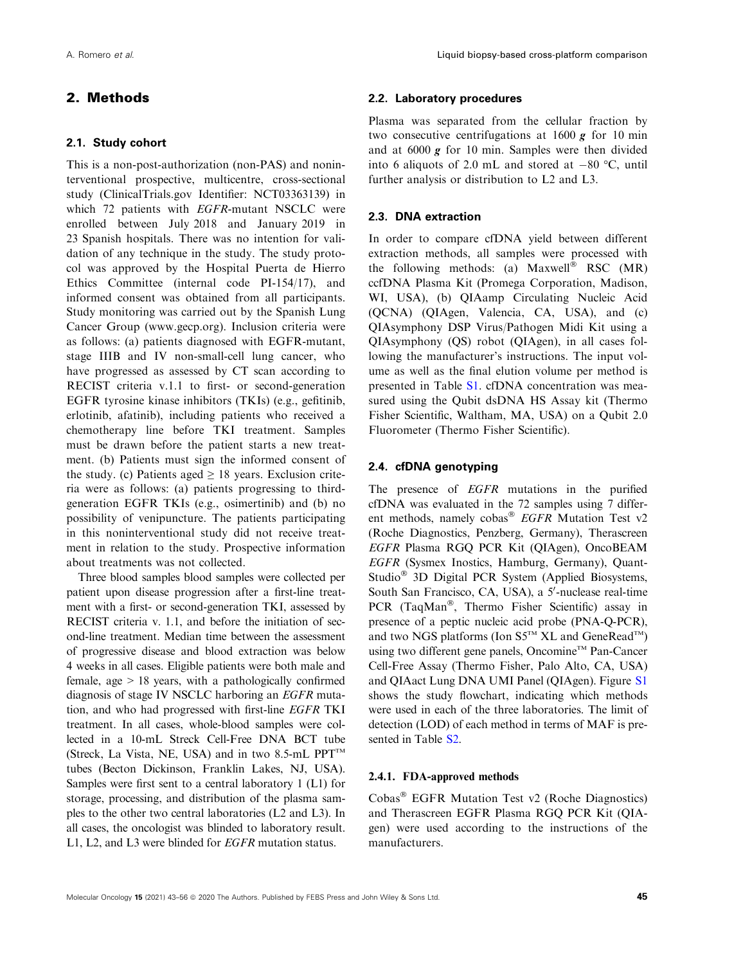# 2. Methods

#### 2.1. Study cohort

This is a non-post-authorization (non-PAS) and noninterventional prospective, multicentre, cross-sectional study (ClinicalTrials.gov Identifier: NCT03363139) in which 72 patients with EGFR-mutant NSCLC were enrolled between July 2018 and January 2019 in 23 Spanish hospitals. There was no intention for validation of any technique in the study. The study protocol was approved by the Hospital Puerta de Hierro Ethics Committee (internal code PI-154/17), and informed consent was obtained from all participants. Study monitoring was carried out by the Spanish Lung Cancer Group ([www.gecp.org](http://www.gecp.org)). Inclusion criteria were as follows: (a) patients diagnosed with EGFR-mutant, stage IIIB and IV non-small-cell lung cancer, who have progressed as assessed by CT scan according to RECIST criteria v.1.1 to first- or second-generation EGFR tyrosine kinase inhibitors (TKIs) (e.g., gefitinib, erlotinib, afatinib), including patients who received a chemotherapy line before TKI treatment. Samples must be drawn before the patient starts a new treatment. (b) Patients must sign the informed consent of the study. (c) Patients aged  $\geq$  18 years. Exclusion criteria were as follows: (a) patients progressing to thirdgeneration EGFR TKIs (e.g., osimertinib) and (b) no possibility of venipuncture. The patients participating in this noninterventional study did not receive treatment in relation to the study. Prospective information about treatments was not collected.

Three blood samples blood samples were collected per patient upon disease progression after a first-line treatment with a first- or second-generation TKI, assessed by RECIST criteria v. 1.1, and before the initiation of second-line treatment. Median time between the assessment of progressive disease and blood extraction was below 4 weeks in all cases. Eligible patients were both male and female, age  $> 18$  years, with a pathologically confirmed diagnosis of stage IV NSCLC harboring an EGFR mutation, and who had progressed with first-line EGFR TKI treatment. In all cases, whole-blood samples were collected in a 10-mL Streck Cell-Free DNA BCT tube (Streck, La Vista, NE, USA) and in two 8.5-mL PPT<sup>™</sup> tubes (Becton Dickinson, Franklin Lakes, NJ, USA). Samples were first sent to a central laboratory 1 (L1) for storage, processing, and distribution of the plasma samples to the other two central laboratories (L2 and L3). In all cases, the oncologist was blinded to laboratory result. L1, L2, and L3 were blinded for EGFR mutation status.

#### 2.2. Laboratory procedures

Plasma was separated from the cellular fraction by two consecutive centrifugations at  $1600 g$  for 10 min and at 6000 g for 10 min. Samples were then divided into 6 aliquots of 2.0 mL and stored at  $-80$  °C, until further analysis or distribution to L2 and L3.

#### 2.3. DNA extraction

In order to compare cfDNA yield between different extraction methods, all samples were processed with the following methods: (a) Maxwell<sup>®</sup> RSC  $(MR)$ ccfDNA Plasma Kit (Promega Corporation, Madison, WI, USA), (b) QIAamp Circulating Nucleic Acid (QCNA) (QIAgen, Valencia, CA, USA), and (c) QIAsymphony DSP Virus/Pathogen Midi Kit using a QIAsymphony (QS) robot (QIAgen), in all cases following the manufacturer's instructions. The input volume as well as the final elution volume per method is presented in Table S1. cfDNA concentration was measured using the Qubit dsDNA HS Assay kit (Thermo Fisher Scientific, Waltham, MA, USA) on a Qubit 2.0 Fluorometer (Thermo Fisher Scientific).

#### 2.4. cfDNA genotyping

The presence of *EGFR* mutations in the purified cfDNA was evaluated in the 72 samples using 7 different methods, namely cobas<sup>®</sup> EGFR Mutation Test v2 (Roche Diagnostics, Penzberg, Germany), Therascreen EGFR Plasma RGQ PCR Kit (QIAgen), OncoBEAM EGFR (Sysmex Inostics, Hamburg, Germany), Quant-Studio<sup>®</sup> 3D Digital PCR System (Applied Biosystems, South San Francisco, CA, USA), a 5'-nuclease real-time PCR (TaqMan<sup>®</sup>, Thermo Fisher Scientific) assay in presence of a peptic nucleic acid probe (PNA-Q-PCR), and two NGS platforms (Ion  $S5^{TM}$  XL and GeneRead<sup>TM</sup>) using two different gene panels, Oncomine<sup>™</sup> Pan-Cancer Cell-Free Assay (Thermo Fisher, Palo Alto, CA, USA) and QIAact Lung DNA UMI Panel (QIAgen). Figure S1 shows the study flowchart, indicating which methods were used in each of the three laboratories. The limit of detection (LOD) of each method in terms of MAF is presented in Table S2.

#### 2.4.1. FDA-approved methods

Cobas EGFR Mutation Test v2 (Roche Diagnostics) and Therascreen EGFR Plasma RGQ PCR Kit (QIAgen) were used according to the instructions of the manufacturers.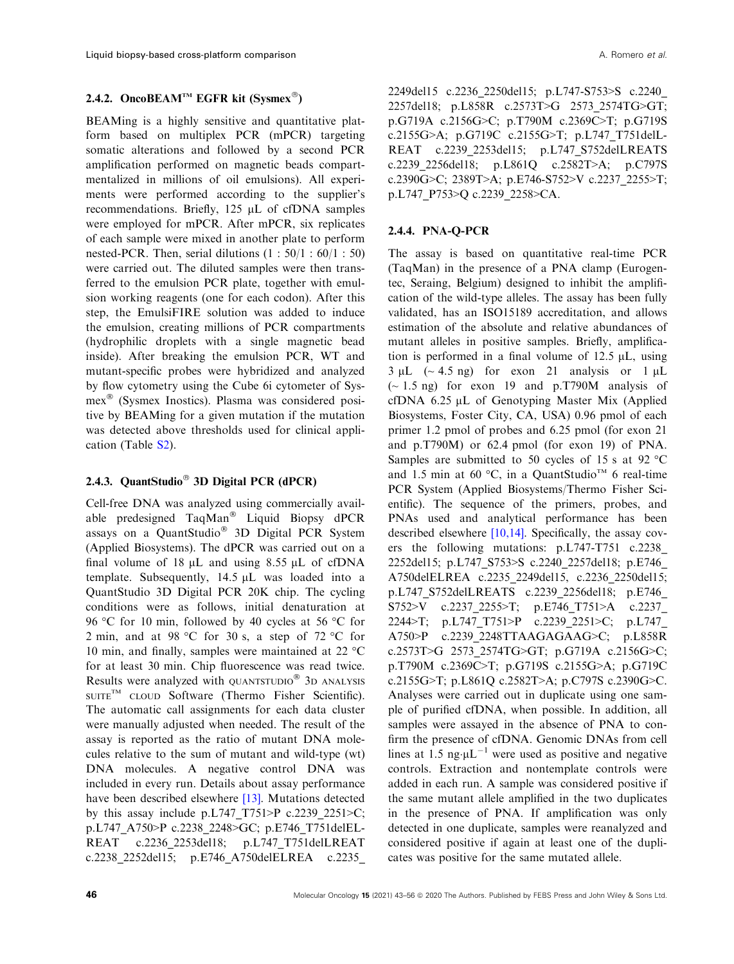### 2.4.2. OncoBEAM<sup>TM</sup> EGFR kit (Sysmex<sup>®</sup>)

BEAMing is a highly sensitive and quantitative platform based on multiplex PCR (mPCR) targeting somatic alterations and followed by a second PCR amplification performed on magnetic beads compartmentalized in millions of oil emulsions). All experiments were performed according to the supplier's recommendations. Briefly,  $125 \mu L$  of cfDNA samples were employed for mPCR. After mPCR, six replicates of each sample were mixed in another plate to perform nested-PCR. Then, serial dilutions  $(1: 50/1: 60/1: 50)$ were carried out. The diluted samples were then transferred to the emulsion PCR plate, together with emulsion working reagents (one for each codon). After this step, the EmulsiFIRE solution was added to induce the emulsion, creating millions of PCR compartments (hydrophilic droplets with a single magnetic bead inside). After breaking the emulsion PCR, WT and mutant-specific probes were hybridized and analyzed by flow cytometry using the Cube 6i cytometer of Sysmex<sup>®</sup> (Sysmex Inostics). Plasma was considered positive by BEAMing for a given mutation if the mutation was detected above thresholds used for clinical application (Table S2).

### 2.4.3. QuantStudio<sup>®</sup> 3D Digital PCR (dPCR)

Cell-free DNA was analyzed using commercially available predesigned TaqMan<sup>®</sup> Liquid Biopsy dPCR assays on a QuantStudio<sup>®</sup> 3D Digital PCR System (Applied Biosystems). The dPCR was carried out on a final volume of  $18 \mu L$  and using  $8.55 \mu L$  of cfDNA template. Subsequently,  $14.5 \mu L$  was loaded into a QuantStudio 3D Digital PCR 20K chip. The cycling conditions were as follows, initial denaturation at 96 °C for 10 min, followed by 40 cycles at 56 °C for 2 min, and at 98 °C for 30 s, a step of 72 °C for 10 min, and finally, samples were maintained at 22 °C for at least 30 min. Chip fluorescence was read twice. Results were analyzed with QUANTSTUDIO<sup>®</sup> 3D ANALYSIS SUITE<sup>TM</sup> CLOUD Software (Thermo Fisher Scientific). The automatic call assignments for each data cluster were manually adjusted when needed. The result of the assay is reported as the ratio of mutant DNA molecules relative to the sum of mutant and wild-type (wt) DNA molecules. A negative control DNA was included in every run. Details about assay performance have been described elsewhere [\[13\]](#page-11-0). Mutations detected by this assay include p.L747 T751>P c.2239 2251>C; p.L747\_A750>P c.2238\_2248>GC; p.E746\_T751delEL-REAT c.2236\_2253del18; p.L747\_T751delLREAT c.2238\_2252del15; p.E746\_A750delELREA c.2235\_

2249del15 c.2236\_2250del15; p.L747-S753>S c.2240\_ 2257del18; p.L858R c.2573T>G 2573\_2574TG>GT; p.G719A c.2156G>C; p.T790M c.2369C>T; p.G719S c.2155G>A; p.G719C c.2155G>T; p.L747\_T751delL-REAT c.2239\_2253del15; p.L747\_S752delLREATS c.2239\_2256del18; p.L861Q c.2582T>A; p.C797S c.2390G>C; 2389T>A; p.E746-S752>V c.2237\_2255>T; p.L747\_P753>Q c.2239\_2258>CA.

#### 2.4.4. PNA-Q-PCR

The assay is based on quantitative real-time PCR (TaqMan) in the presence of a PNA clamp (Eurogentec, Seraing, Belgium) designed to inhibit the amplification of the wild-type alleles. The assay has been fully validated, has an ISO15189 accreditation, and allows estimation of the absolute and relative abundances of mutant alleles in positive samples. Briefly, amplification is performed in a final volume of  $12.5 \mu L$ , using  $3 \mu L$  (~ 4.5 ng) for exon 21 analysis or 1  $\mu L$  $\sim$  1.5 ng) for exon 19 and p.T790M analysis of cfDNA  $6.25 \mu L$  of Genotyping Master Mix (Applied Biosystems, Foster City, CA, USA) 0.96 pmol of each primer 1.2 pmol of probes and 6.25 pmol (for exon 21 and p.T790M) or 62.4 pmol (for exon 19) of PNA. Samples are submitted to 50 cycles of 15 s at 92 °C and 1.5 min at 60 °C, in a QuantStudio<sup>™</sup> 6 real-time PCR System (Applied Biosystems/Thermo Fisher Scientific). The sequence of the primers, probes, and PNAs used and analytical performance has been described elsewhere [\[10,14\]](#page-11-0). Specifically, the assay covers the following mutations: p.L747-T751 c.2238\_ 2252del15; p.L747\_S753>S c.2240\_2257del18; p.E746\_ A750delELREA c.2235\_2249del15, c.2236\_2250del15; p.L747\_S752delLREATS c.2239\_2256del18; p.E746\_ S752>V c.2237 2255>T; p.E746 T751>A c.2237 2244>T; p.L747\_T751>P c.2239\_2251>C; p.L747\_ A750>P c.2239\_2248TTAAGAGAAG>C; p.L858R c.2573T>G 2573\_2574TG>GT; p.G719A c.2156G>C; p.T790M c.2369C>T; p.G719S c.2155G>A; p.G719C c.2155G>T; p.L861Q c.2582T>A; p.C797S c.2390G>C. Analyses were carried out in duplicate using one sample of purified cfDNA, when possible. In addition, all samples were assayed in the absence of PNA to confirm the presence of cfDNA. Genomic DNAs from cell lines at 1.5 ng· $\mu L^{-1}$  were used as positive and negative controls. Extraction and nontemplate controls were added in each run. A sample was considered positive if the same mutant allele amplified in the two duplicates in the presence of PNA. If amplification was only detected in one duplicate, samples were reanalyzed and considered positive if again at least one of the duplicates was positive for the same mutated allele.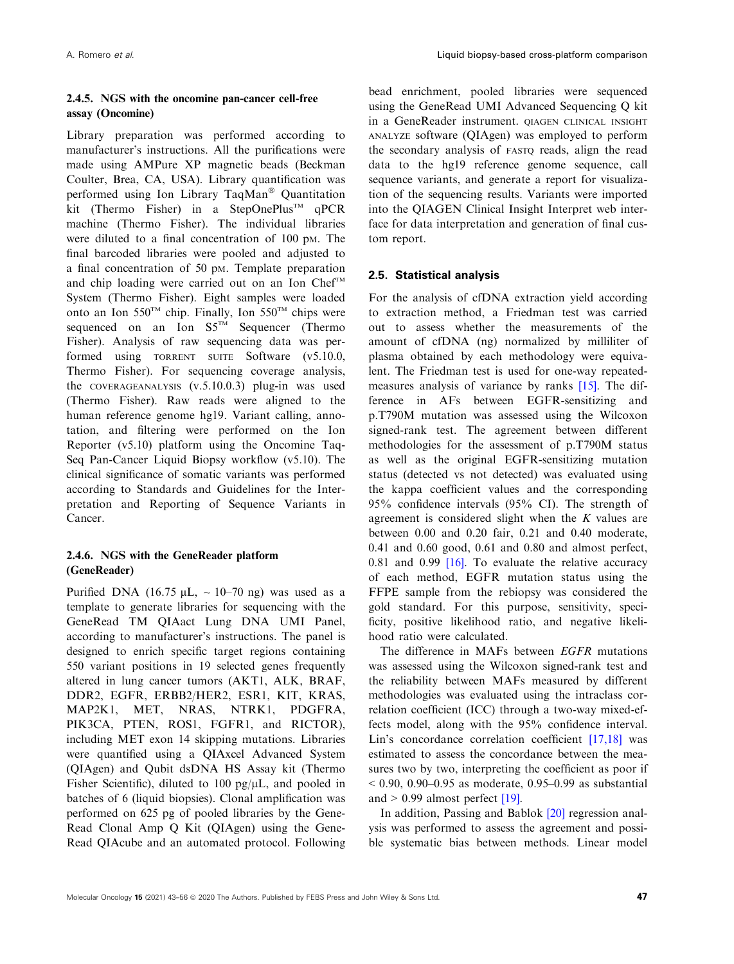# 2.4.5. NGS with the oncomine pan-cancer cell-free assay (Oncomine)

Library preparation was performed according to manufacturer's instructions. All the purifications were made using AMPure XP magnetic beads (Beckman Coulter, Brea, CA, USA). Library quantification was performed using Ion Library TaqMan® Quantitation kit (Thermo Fisher) in a StepOnePlus<sup>TM</sup> qPCR machine (Thermo Fisher). The individual libraries were diluted to a final concentration of 100 pM. The final barcoded libraries were pooled and adjusted to a final concentration of 50 pM. Template preparation and chip loading were carried out on an Ion Chef<sup>TM</sup> System (Thermo Fisher). Eight samples were loaded onto an Ion  $550^{TM}$  chip. Finally, Ion  $550^{TM}$  chips were sequenced on an Ion  $SS^{TM}$  Sequencer (Thermo Fisher). Analysis of raw sequencing data was performed using TORRENT SUITE Software (v5.10.0, Thermo Fisher). For sequencing coverage analysis, the COVERAGEANALYSIS (v.5.10.0.3) plug-in was used (Thermo Fisher). Raw reads were aligned to the human reference genome hg19. Variant calling, annotation, and filtering were performed on the Ion Reporter (v5.10) platform using the Oncomine Taq-Seq Pan-Cancer Liquid Biopsy workflow (v5.10). The clinical significance of somatic variants was performed according to Standards and Guidelines for the Interpretation and Reporting of Sequence Variants in Cancer.

# 2.4.6. NGS with the GeneReader platform (GeneReader)

Purified DNA (16.75  $\mu$ L, ~ 10–70 ng) was used as a template to generate libraries for sequencing with the GeneRead TM QIAact Lung DNA UMI Panel, according to manufacturer's instructions. The panel is designed to enrich specific target regions containing 550 variant positions in 19 selected genes frequently altered in lung cancer tumors (AKT1, ALK, BRAF, DDR2, EGFR, ERBB2/HER2, ESR1, KIT, KRAS, MAP2K1, MET, NRAS, NTRK1, PDGFRA, PIK3CA, PTEN, ROS1, FGFR1, and RICTOR), including MET exon 14 skipping mutations. Libraries were quantified using a QIAxcel Advanced System (QIAgen) and Qubit dsDNA HS Assay kit (Thermo Fisher Scientific), diluted to 100 pg/ $\mu$ L, and pooled in batches of 6 (liquid biopsies). Clonal amplification was performed on 625 pg of pooled libraries by the Gene-Read Clonal Amp Q Kit (QIAgen) using the Gene-Read QIAcube and an automated protocol. Following

bead enrichment, pooled libraries were sequenced using the GeneRead UMI Advanced Sequencing Q kit in a GeneReader instrument. QIAGEN CLINICAL INSIGHT ANALYZE software (QIAgen) was employed to perform the secondary analysis of FASTQ reads, align the read data to the hg19 reference genome sequence, call sequence variants, and generate a report for visualization of the sequencing results. Variants were imported into the QIAGEN Clinical Insight Interpret web interface for data interpretation and generation of final custom report.

# 2.5. Statistical analysis

For the analysis of cfDNA extraction yield according to extraction method, a Friedman test was carried out to assess whether the measurements of the amount of cfDNA (ng) normalized by milliliter of plasma obtained by each methodology were equivalent. The Friedman test is used for one-way repeatedmeasures analysis of variance by ranks [\[15\]](#page-11-0). The difference in AFs between EGFR-sensitizing and p.T790M mutation was assessed using the Wilcoxon signed-rank test. The agreement between different methodologies for the assessment of p.T790M status as well as the original EGFR-sensitizing mutation status (detected vs not detected) was evaluated using the kappa coefficient values and the corresponding 95% confidence intervals (95% CI). The strength of agreement is considered slight when the  $K$  values are between 0.00 and 0.20 fair, 0.21 and 0.40 moderate, 0.41 and 0.60 good, 0.61 and 0.80 and almost perfect, 0.81 and 0.99 [[16](#page-11-0)]. To evaluate the relative accuracy of each method, EGFR mutation status using the FFPE sample from the rebiopsy was considered the gold standard. For this purpose, sensitivity, specificity, positive likelihood ratio, and negative likelihood ratio were calculated.

The difference in MAFs between EGFR mutations was assessed using the Wilcoxon signed-rank test and the reliability between MAFs measured by different methodologies was evaluated using the intraclass correlation coefficient (ICC) through a two-way mixed-effects model, along with the 95% confidence interval. Lin's concordance correlation coefficient [[17,18](#page-12-0)] was estimated to assess the concordance between the measures two by two, interpreting the coefficient as poor if  $< 0.90, 0.90 - 0.95$  as moderate, 0.95–0.99 as substantial and  $> 0.99$  almost perfect [[19](#page-12-0)].

In addition, Passing and Bablok [\[20\]](#page-12-0) regression analysis was performed to assess the agreement and possible systematic bias between methods. Linear model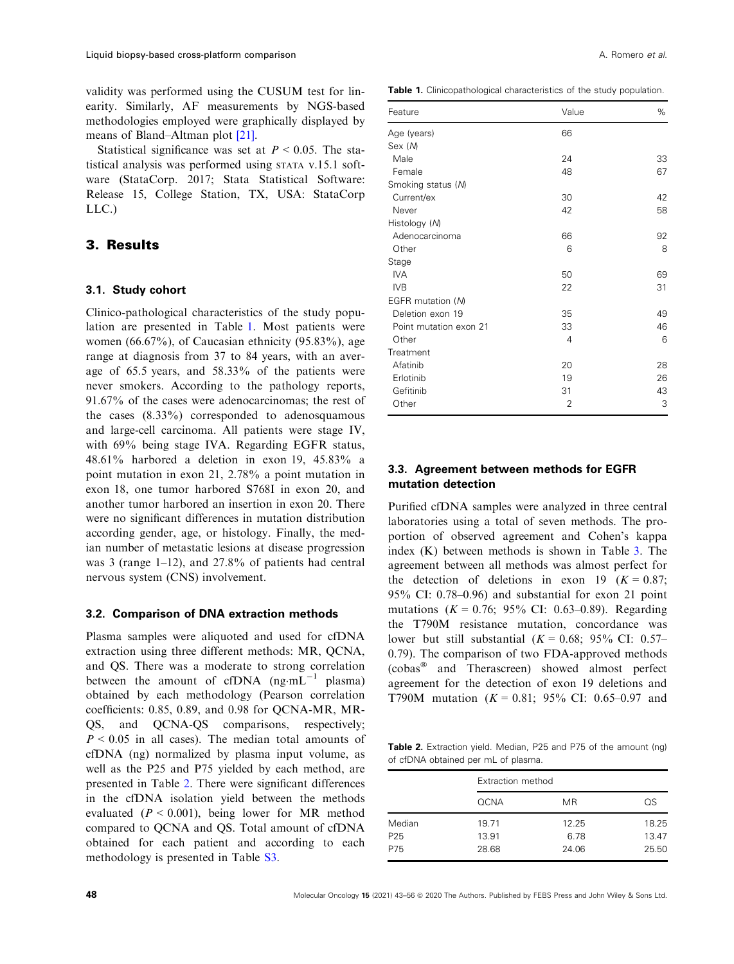validity was performed using the CUSUM test for linearity. Similarly, AF measurements by NGS-based methodologies employed were graphically displayed by means of Bland–Altman plot [[21\]](#page-12-0).

Statistical significance was set at  $P < 0.05$ . The statistical analysis was performed using STATA v.15.1 software (StataCorp. 2017; Stata Statistical Software: Release 15, College Station, TX, USA: StataCorp LLC.)

## 3. Results

#### 3.1. Study cohort

Clinico-pathological characteristics of the study population are presented in Table 1. Most patients were women (66.67%), of Caucasian ethnicity (95.83%), age range at diagnosis from 37 to 84 years, with an average of 65.5 years, and 58.33% of the patients were never smokers. According to the pathology reports, 91.67% of the cases were adenocarcinomas; the rest of the cases  $(8.33\%)$  corresponded to adenosquamous and large-cell carcinoma. All patients were stage IV, with 69% being stage IVA. Regarding EGFR status, 48.61% harbored a deletion in exon 19, 45.83% a point mutation in exon 21, 2.78% a point mutation in exon 18, one tumor harbored S768I in exon 20, and another tumor harbored an insertion in exon 20. There were no significant differences in mutation distribution according gender, age, or histology. Finally, the median number of metastatic lesions at disease progression was 3 (range  $1-12$ ), and  $27.8\%$  of patients had central nervous system (CNS) involvement.

#### 3.2. Comparison of DNA extraction methods

Plasma samples were aliquoted and used for cfDNA extraction using three different methods: MR, QCNA, and QS. There was a moderate to strong correlation between the amount of cfDNA  $(np·mL^{-1}$  plasma) obtained by each methodology (Pearson correlation coefficients: 0.85, 0.89, and 0.98 for QCNA-MR, MR-QS, and QCNA-QS comparisons, respectively;  $P < 0.05$  in all cases). The median total amounts of cfDNA (ng) normalized by plasma input volume, as well as the P25 and P75 yielded by each method, are presented in Table 2. There were significant differences in the cfDNA isolation yield between the methods evaluated ( $P < 0.001$ ), being lower for MR method compared to QCNA and QS. Total amount of cfDNA obtained for each patient and according to each methodology is presented in Table S3.

Table 1. Clinicopathological characteristics of the study population.

| Feature                | Value          | %  |
|------------------------|----------------|----|
| Age (years)            | 66             |    |
| Sex (M)                |                |    |
| Male                   | 24             | 33 |
| Female                 | 48             | 67 |
| Smoking status (M)     |                |    |
| Current/ex             | 30             | 42 |
| Never                  | 42             | 58 |
| Histology (M)          |                |    |
| Adenocarcinoma         | 66             | 92 |
| Other                  | 6              | 8  |
| Stage                  |                |    |
| IVA.                   | 50             | 69 |
| <b>IVB</b>             | 22             | 31 |
| EGFR mutation (M)      |                |    |
| Deletion exon 19       | 35             | 49 |
| Point mutation exon 21 | 33             | 46 |
| Other                  | 4              | 6  |
| Treatment              |                |    |
| Afatinib               | 20             | 28 |
| Erlotinib              | 19             | 26 |
| Gefitinib              | 31             | 43 |
| Other                  | $\overline{2}$ | 3  |

### 3.3. Agreement between methods for EGFR mutation detection

Purified cfDNA samples were analyzed in three central laboratories using a total of seven methods. The proportion of observed agreement and Cohen's kappa index (K) between methods is shown in Table [3.](#page-6-0) The agreement between all methods was almost perfect for the detection of deletions in exon 19 ( $K = 0.87$ ; 95% CI: 0.78–0.96) and substantial for exon 21 point mutations  $(K = 0.76; 95\% \text{ CI: } 0.63{\text -}0.89)$ . Regarding the T790M resistance mutation, concordance was lower but still substantial  $(K = 0.68; 95\% \text{ CI: } 0.57-$ 0.79). The comparison of two FDA-approved methods (cobas<sup>®</sup> and Therascreen) showed almost perfect agreement for the detection of exon 19 deletions and T790M mutation  $(K = 0.81; 95\% \text{ CI: } 0.65-0.97 \text{ and }$ 

Table 2. Extraction yield. Median, P25 and P75 of the amount (ng) of cfDNA obtained per mL of plasma.

|                 |             | Extraction method |       |  |  |  |  |
|-----------------|-------------|-------------------|-------|--|--|--|--|
|                 | <b>QCNA</b> | <b>MR</b>         | OS    |  |  |  |  |
| Median          | 19.71       | 12.25             | 18.25 |  |  |  |  |
| P <sub>25</sub> | 13.91       | 6.78              | 13.47 |  |  |  |  |
| P75             | 28.68       | 24.06             | 25.50 |  |  |  |  |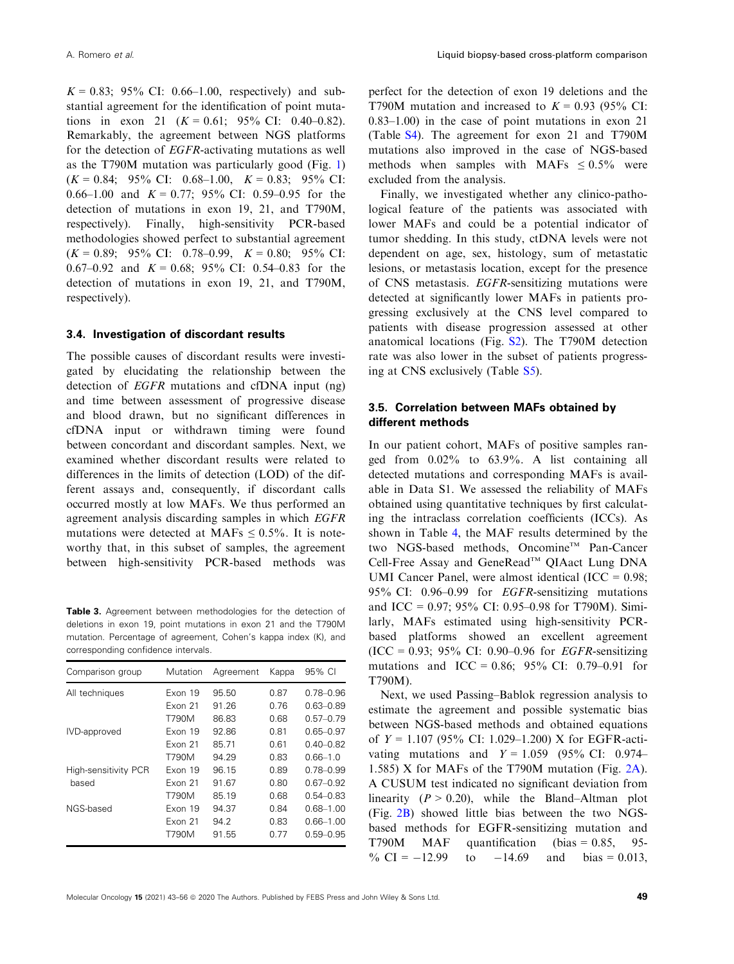<span id="page-6-0"></span> $K = 0.83$ ; 95% CI: 0.66–1.00, respectively) and substantial agreement for the identification of point mutations in exon 21  $(K = 0.61; 95\% \text{ CI: } 0.40-0.82)$ . Remarkably, the agreement between NGS platforms for the detection of EGFR-activating mutations as well as the T790M mutation was particularly good (Fig. [1](#page-7-0))  $(K = 0.84; 95\% \text{ CI:} 0.68-1.00, K = 0.83; 95\% \text{ CI:}$ 0.66–1.00 and  $K = 0.77$ ; 95% CI: 0.59–0.95 for the detection of mutations in exon 19, 21, and T790M, respectively). Finally, high-sensitivity PCR-based methodologies showed perfect to substantial agreement  $(K = 0.89; 95\% \text{ CI:} 0.78{\text -}0.99, K = 0.80; 95\% \text{ CI:}$ 0.67–0.92 and  $K = 0.68$ ; 95% CI: 0.54–0.83 for the detection of mutations in exon 19, 21, and T790M, respectively).

#### 3.4. Investigation of discordant results

The possible causes of discordant results were investigated by elucidating the relationship between the detection of EGFR mutations and cfDNA input (ng) and time between assessment of progressive disease and blood drawn, but no significant differences in cfDNA input or withdrawn timing were found between concordant and discordant samples. Next, we examined whether discordant results were related to differences in the limits of detection (LOD) of the different assays and, consequently, if discordant calls occurred mostly at low MAFs. We thus performed an agreement analysis discarding samples in which EGFR mutations were detected at MAFs  $\leq 0.5\%$ . It is noteworthy that, in this subset of samples, the agreement between high-sensitivity PCR-based methods was

Table 3. Agreement between methodologies for the detection of deletions in exon 19, point mutations in exon 21 and the T790M mutation. Percentage of agreement, Cohen's kappa index (K), and corresponding confidence intervals.

| Comparison group            | Mutation | Agreement | Kappa | 95% CI        |  |
|-----------------------------|----------|-----------|-------|---------------|--|
| All techniques              | Exon 19  | 95.50     | 0.87  | $0.78 - 0.96$ |  |
|                             | Exon 21  | 91.26     | 0.76  | $0.63 - 0.89$ |  |
|                             | T790M    | 86.83     | 0.68  | $0.57 - 0.79$ |  |
| IVD-approved                | Exon 19  | 92.86     | 0.81  | $0.65 - 0.97$ |  |
|                             | Exon 21  | 85.71     | 0.61  | $0.40 - 0.82$ |  |
|                             | T790M    | 94.29     | 0.83  | $0.66 - 1.0$  |  |
| <b>High-sensitivity PCR</b> | Fxon 19  | 96.15     | 0.89  | $0.78 - 0.99$ |  |
| based                       | Exon 21  | 91.67     | 0.80  | $0.67 - 0.92$ |  |
|                             | T790M    | 85.19     | 0.68  | $0.54 - 0.83$ |  |
| NGS-based                   | Exon 19  | 94.37     | 0.84  | $0.68 - 1.00$ |  |
|                             | Exon 21  | 94.2      | 0.83  | $0.66 - 1.00$ |  |
|                             | T790M    | 91.55     | 0.77  | $0.59 - 0.95$ |  |

perfect for the detection of exon 19 deletions and the T790M mutation and increased to  $K = 0.93$  (95% CI: 0.83–1.00) in the case of point mutations in exon 21 (Table S4). The agreement for exon 21 and T790M mutations also improved in the case of NGS-based methods when samples with MAFs  $\leq 0.5\%$  were excluded from the analysis.

Finally, we investigated whether any clinico-pathological feature of the patients was associated with lower MAFs and could be a potential indicator of tumor shedding. In this study, ctDNA levels were not dependent on age, sex, histology, sum of metastatic lesions, or metastasis location, except for the presence of CNS metastasis. EGFR-sensitizing mutations were detected at significantly lower MAFs in patients progressing exclusively at the CNS level compared to patients with disease progression assessed at other anatomical locations (Fig. S2). The T790M detection rate was also lower in the subset of patients progressing at CNS exclusively (Table S5).

### 3.5. Correlation between MAFs obtained by different methods

In our patient cohort, MAFs of positive samples ranged from 0.02% to 63.9%. A list containing all detected mutations and corresponding MAFs is available in Data S1. We assessed the reliability of MAFs obtained using quantitative techniques by first calculating the intraclass correlation coefficients (ICCs). As shown in Table [4,](#page-7-0) the MAF results determined by the two NGS-based methods, Oncomine™ Pan-Cancer Cell-Free Assay and GeneRead™ QIAact Lung DNA UMI Cancer Panel, were almost identical  $(ICC = 0.98;$ 95% CI: 0.96–0.99 for EGFR-sensitizing mutations and ICC = 0.97; 95% CI: 0.95–0.98 for T790M). Similarly, MAFs estimated using high-sensitivity PCRbased platforms showed an excellent agreement  $(ICC = 0.93; 95\% CI: 0.90-0.96$  for *EGFR*-sensitizing mutations and ICC = 0.86; 95% CI: 0.79–0.91 for T790M).

Next, we used Passing–Bablok regression analysis to estimate the agreement and possible systematic bias between NGS-based methods and obtained equations of  $Y = 1.107$  (95% CI: 1.029–1.200) X for EGFR-activating mutations and  $Y = 1.059$  (95% CI: 0.974– 1.585) X for MAFs of the T790M mutation (Fig. [2A\)](#page-8-0). A CUSUM test indicated no significant deviation from linearity  $(P > 0.20)$ , while the Bland–Altman plot (Fig. [2B\)](#page-8-0) showed little bias between the two NGSbased methods for EGFR-sensitizing mutation and T790M MAF quantification (bias = 0.85, 95- % CI =  $-12.99$  to  $-14.69$  and bias = 0.013,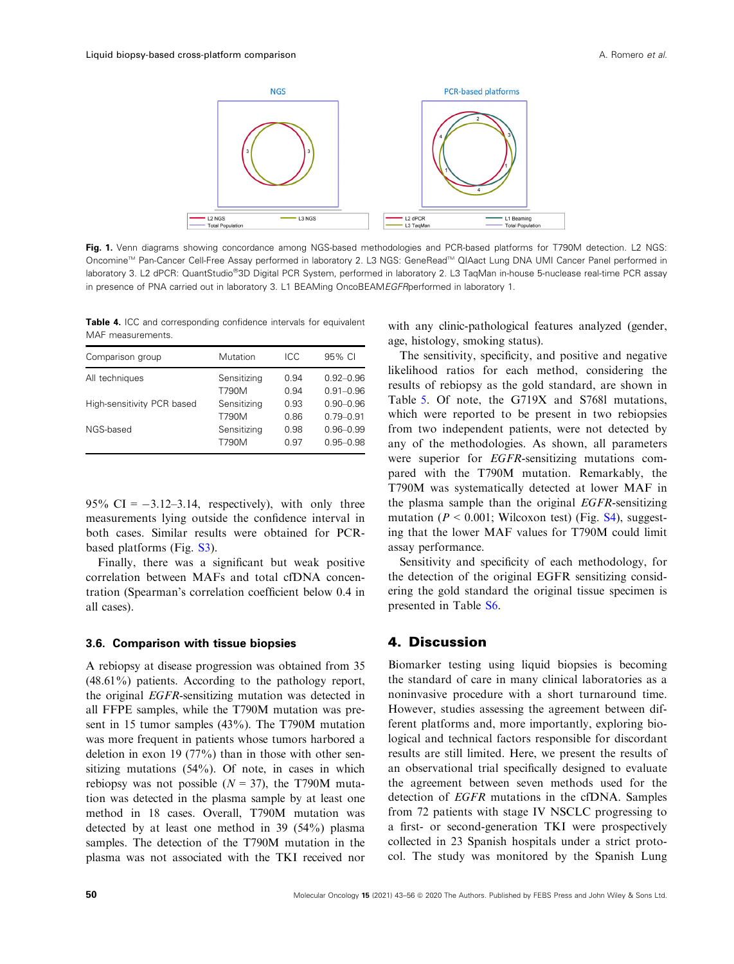<span id="page-7-0"></span>

Fig. 1. Venn diagrams showing concordance among NGS-based methodologies and PCR-based platforms for T790M detection. L2 NGS: Oncomine™ Pan-Cancer Cell-Free Assay performed in laboratory 2. L3 NGS: GeneRead™ QIAact Lung DNA UMI Cancer Panel performed in laboratory 3. L2 dPCR: QuantStudio®3D Digital PCR System, performed in laboratory 2. L3 TaqMan in-house 5-nuclease real-time PCR assay in presence of PNA carried out in laboratory 3. L1 BEAMing OncoBEAMEGFRperformed in laboratory 1.

Table 4. ICC and corresponding confidence intervals for equivalent MAF measurements.

| Comparison group           | Mutation    | ICC  | 95% CI        |
|----------------------------|-------------|------|---------------|
| All techniques             | Sensitizing | 0.94 | $0.92 - 0.96$ |
|                            | T790M       | 0.94 | $0.91 - 0.96$ |
| High-sensitivity PCR based | Sensitizing | 0.93 | $0.90 - 0.96$ |
|                            | T790M       | 0.86 | $0.79 - 0.91$ |
| NGS-based                  | Sensitizing | 0.98 | $0.96 - 0.99$ |
|                            | T790M       | 0.97 | $0.95 - 0.98$ |

95% CI =  $-3.12-3.14$ , respectively), with only three measurements lying outside the confidence interval in both cases. Similar results were obtained for PCRbased platforms (Fig. S3).

Finally, there was a significant but weak positive correlation between MAFs and total cfDNA concentration (Spearman's correlation coefficient below 0.4 in all cases).

#### 3.6. Comparison with tissue biopsies

A rebiopsy at disease progression was obtained from 35 (48.61%) patients. According to the pathology report, the original EGFR-sensitizing mutation was detected in all FFPE samples, while the T790M mutation was present in 15 tumor samples (43%). The T790M mutation was more frequent in patients whose tumors harbored a deletion in exon 19 (77%) than in those with other sensitizing mutations (54%). Of note, in cases in which rebiopsy was not possible ( $N = 37$ ), the T790M mutation was detected in the plasma sample by at least one method in 18 cases. Overall, T790M mutation was detected by at least one method in 39 (54%) plasma samples. The detection of the T790M mutation in the plasma was not associated with the TKI received nor

with any clinic-pathological features analyzed (gender, age, histology, smoking status).

The sensitivity, specificity, and positive and negative likelihood ratios for each method, considering the results of rebiopsy as the gold standard, are shown in Table [5](#page-8-0). Of note, the G719X and S768l mutations, which were reported to be present in two rebiopsies from two independent patients, were not detected by any of the methodologies. As shown, all parameters were superior for EGFR-sensitizing mutations compared with the T790M mutation. Remarkably, the T790M was systematically detected at lower MAF in the plasma sample than the original EGFR-sensitizing mutation ( $P < 0.001$ ; Wilcoxon test) (Fig.  $S4$ ), suggesting that the lower MAF values for T790M could limit assay performance.

Sensitivity and specificity of each methodology, for the detection of the original EGFR sensitizing considering the gold standard the original tissue specimen is presented in Table S6.

### 4. Discussion

Biomarker testing using liquid biopsies is becoming the standard of care in many clinical laboratories as a noninvasive procedure with a short turnaround time. However, studies assessing the agreement between different platforms and, more importantly, exploring biological and technical factors responsible for discordant results are still limited. Here, we present the results of an observational trial specifically designed to evaluate the agreement between seven methods used for the detection of EGFR mutations in the cfDNA. Samples from 72 patients with stage IV NSCLC progressing to a first- or second-generation TKI were prospectively collected in 23 Spanish hospitals under a strict protocol. The study was monitored by the Spanish Lung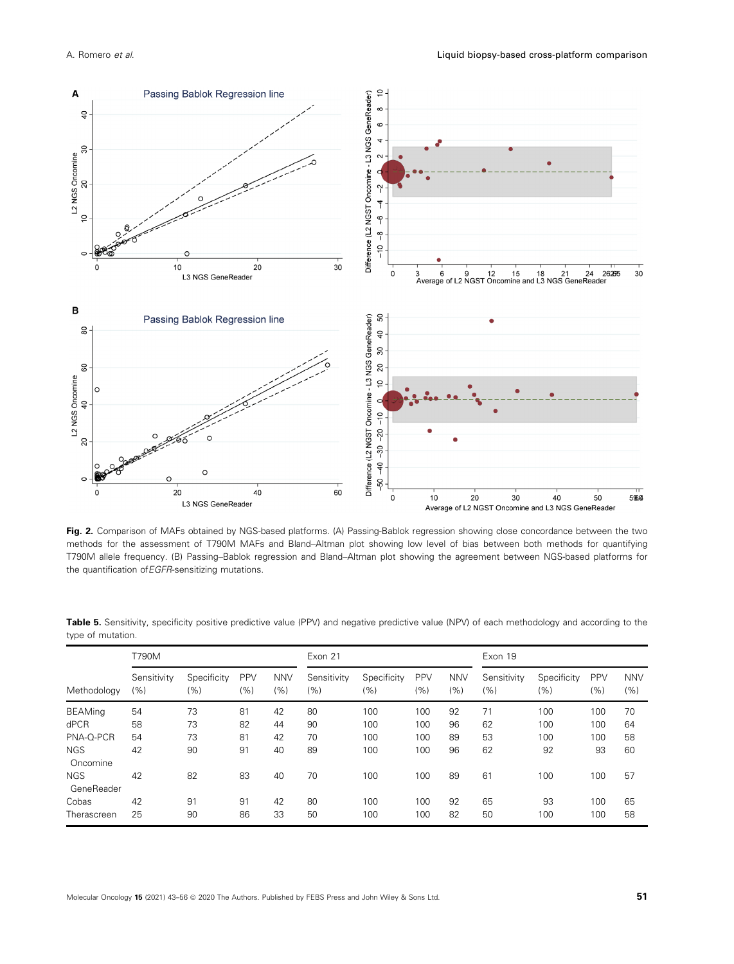<span id="page-8-0"></span>

Fig. 2. Comparison of MAFs obtained by NGS-based platforms. (A) Passing-Bablok regression showing close concordance between the two methods for the assessment of T790M MAFs and Bland–Altman plot showing low level of bias between both methods for quantifying T790M allele frequency. (B) Passing–Bablok regression and Bland–Altman plot showing the agreement between NGS-based platforms for the quantification of EGFR-sensitizing mutations.

|                          | T790M              |                    |                   |                   | Exon 21            |                    |                   | Exon 19           |                    |                    |                   |                   |
|--------------------------|--------------------|--------------------|-------------------|-------------------|--------------------|--------------------|-------------------|-------------------|--------------------|--------------------|-------------------|-------------------|
| Methodology              | Sensitivity<br>(%) | Specificity<br>(%) | <b>PPV</b><br>(%) | <b>NNV</b><br>(%) | Sensitivity<br>(%) | Specificity<br>(%) | <b>PPV</b><br>(%) | <b>NNV</b><br>(%) | Sensitivity<br>(%) | Specificity<br>(%) | <b>PPV</b><br>(%) | <b>NNV</b><br>(%) |
| <b>BEAMing</b>           | 54                 | 73                 | 81                | 42                | 80                 | 100                | 100               | 92                | 71                 | 100                | 100               | 70                |
| dPCR                     | 58                 | 73                 | 82                | 44                | 90                 | 100                | 100               | 96                | 62                 | 100                | 100               | 64                |
| PNA-Q-PCR                | 54                 | 73                 | 81                | 42                | 70                 | 100                | 100               | 89                | 53                 | 100                | 100               | 58                |
| <b>NGS</b><br>Oncomine   | 42                 | 90                 | 91                | 40                | 89                 | 100                | 100               | 96                | 62                 | 92                 | 93                | 60                |
| <b>NGS</b><br>GeneReader | 42                 | 82                 | 83                | 40                | 70                 | 100                | 100               | 89                | 61                 | 100                | 100               | 57                |
| Cobas                    | 42                 | 91                 | 91                | 42                | 80                 | 100                | 100               | 92                | 65                 | 93                 | 100               | 65                |
| Therascreen              | 25                 | 90                 | 86                | 33                | 50                 | 100                | 100               | 82                | 50                 | 100                | 100               | 58                |

Table 5. Sensitivity, specificity positive predictive value (PPV) and negative predictive value (NPV) of each methodology and according to the type of mutation.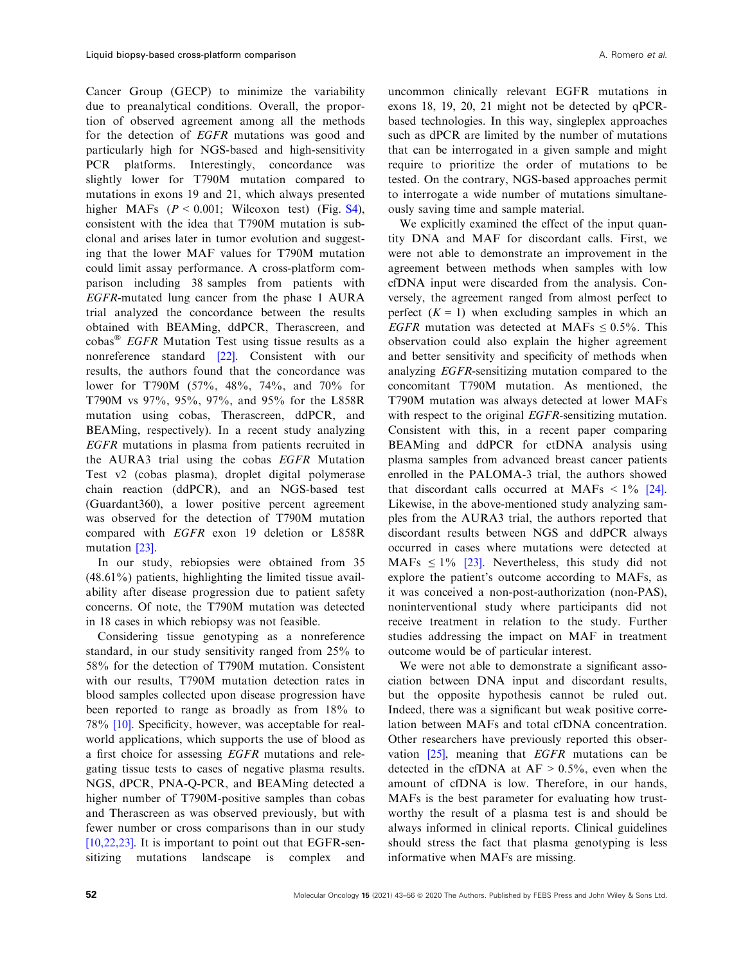Cancer Group (GECP) to minimize the variability due to preanalytical conditions. Overall, the proportion of observed agreement among all the methods for the detection of EGFR mutations was good and particularly high for NGS-based and high-sensitivity PCR platforms. Interestingly, concordance was slightly lower for T790M mutation compared to mutations in exons 19 and 21, which always presented higher MAFs  $(P < 0.001$ ; Wilcoxon test) (Fig. S4), consistent with the idea that T790M mutation is subclonal and arises later in tumor evolution and suggesting that the lower MAF values for T790M mutation could limit assay performance. A cross-platform comparison including 38 samples from patients with EGFR-mutated lung cancer from the phase 1 AURA trial analyzed the concordance between the results obtained with BEAMing, ddPCR, Therascreen, and  $\cosh s$ <sup>®</sup> *EGFR* Mutation Test using tissue results as a nonreference standard [[22](#page-12-0)]. Consistent with our results, the authors found that the concordance was lower for T790M (57%, 48%, 74%, and 70% for T790M vs 97%, 95%, 97%, and 95% for the L858R mutation using cobas, Therascreen, ddPCR, and BEAMing, respectively). In a recent study analyzing EGFR mutations in plasma from patients recruited in the AURA3 trial using the cobas EGFR Mutation Test v2 (cobas plasma), droplet digital polymerase chain reaction (ddPCR), and an NGS-based test (Guardant360), a lower positive percent agreement was observed for the detection of T790M mutation compared with EGFR exon 19 deletion or L858R mutation [[23](#page-12-0)].

In our study, rebiopsies were obtained from 35 (48.61%) patients, highlighting the limited tissue availability after disease progression due to patient safety concerns. Of note, the T790M mutation was detected in 18 cases in which rebiopsy was not feasible.

Considering tissue genotyping as a nonreference standard, in our study sensitivity ranged from 25% to 58% for the detection of T790M mutation. Consistent with our results, T790M mutation detection rates in blood samples collected upon disease progression have been reported to range as broadly as from 18% to 78% [\[10\]](#page-11-0). Specificity, however, was acceptable for realworld applications, which supports the use of blood as a first choice for assessing EGFR mutations and relegating tissue tests to cases of negative plasma results. NGS, dPCR, PNA-Q-PCR, and BEAMing detected a higher number of T790M-positive samples than cobas and Therascreen as was observed previously, but with fewer number or cross comparisons than in our study  $[10,22,23]$ . It is important to point out that EGFR-sensitizing mutations landscape is complex and

uncommon clinically relevant EGFR mutations in exons 18, 19, 20, 21 might not be detected by qPCRbased technologies. In this way, singleplex approaches such as dPCR are limited by the number of mutations that can be interrogated in a given sample and might require to prioritize the order of mutations to be tested. On the contrary, NGS-based approaches permit to interrogate a wide number of mutations simultaneously saving time and sample material.

We explicitly examined the effect of the input quantity DNA and MAF for discordant calls. First, we were not able to demonstrate an improvement in the agreement between methods when samples with low cfDNA input were discarded from the analysis. Conversely, the agreement ranged from almost perfect to perfect  $(K = 1)$  when excluding samples in which an EGFR mutation was detected at MAFs  $\leq 0.5\%$ . This observation could also explain the higher agreement and better sensitivity and specificity of methods when analyzing EGFR-sensitizing mutation compared to the concomitant T790M mutation. As mentioned, the T790M mutation was always detected at lower MAFs with respect to the original *EGFR*-sensitizing mutation. Consistent with this, in a recent paper comparing BEAMing and ddPCR for ctDNA analysis using plasma samples from advanced breast cancer patients enrolled in the PALOMA-3 trial, the authors showed that discordant calls occurred at MAFs  $\lt 1\%$  [[24](#page-12-0)]. Likewise, in the above-mentioned study analyzing samples from the AURA3 trial, the authors reported that discordant results between NGS and ddPCR always occurred in cases where mutations were detected at MAFs  $\leq 1\%$  [\[23\]](#page-12-0). Nevertheless, this study did not explore the patient's outcome according to MAFs, as it was conceived a non-post-authorization (non-PAS), noninterventional study where participants did not receive treatment in relation to the study. Further studies addressing the impact on MAF in treatment outcome would be of particular interest.

We were not able to demonstrate a significant association between DNA input and discordant results, but the opposite hypothesis cannot be ruled out. Indeed, there was a significant but weak positive correlation between MAFs and total cfDNA concentration. Other researchers have previously reported this observation [\[25\]](#page-12-0), meaning that EGFR mutations can be detected in the cfDNA at  $AF > 0.5\%$ , even when the amount of cfDNA is low. Therefore, in our hands, MAFs is the best parameter for evaluating how trustworthy the result of a plasma test is and should be always informed in clinical reports. Clinical guidelines should stress the fact that plasma genotyping is less informative when MAFs are missing.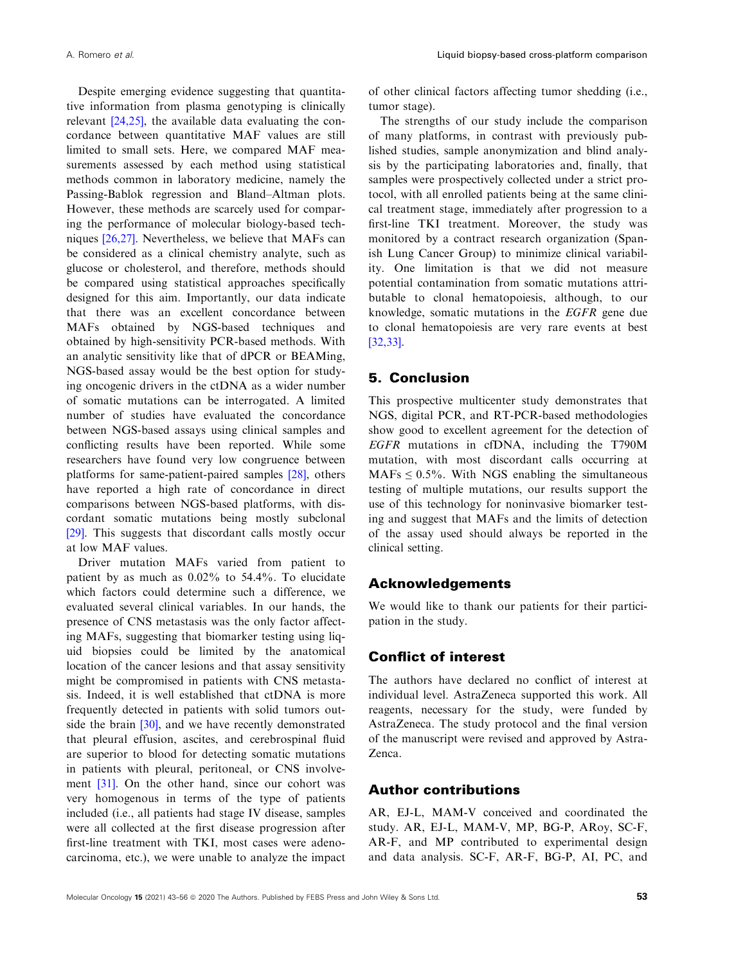Despite emerging evidence suggesting that quantitative information from plasma genotyping is clinically relevant [[24,25](#page-12-0)], the available data evaluating the concordance between quantitative MAF values are still limited to small sets. Here, we compared MAF measurements assessed by each method using statistical methods common in laboratory medicine, namely the Passing-Bablok regression and Bland–Altman plots. However, these methods are scarcely used for comparing the performance of molecular biology-based techniques [[26,27](#page-12-0)]. Nevertheless, we believe that MAFs can be considered as a clinical chemistry analyte, such as glucose or cholesterol, and therefore, methods should be compared using statistical approaches specifically designed for this aim. Importantly, our data indicate that there was an excellent concordance between MAFs obtained by NGS-based techniques and obtained by high-sensitivity PCR-based methods. With an analytic sensitivity like that of dPCR or BEAMing, NGS-based assay would be the best option for studying oncogenic drivers in the ctDNA as a wider number of somatic mutations can be interrogated. A limited number of studies have evaluated the concordance between NGS-based assays using clinical samples and conflicting results have been reported. While some researchers have found very low congruence between platforms for same-patient-paired samples [[28\]](#page-12-0), others have reported a high rate of concordance in direct comparisons between NGS-based platforms, with discordant somatic mutations being mostly subclonal [\[29\]](#page-12-0). This suggests that discordant calls mostly occur at low MAF values.

Driver mutation MAFs varied from patient to patient by as much as 0.02% to 54.4%. To elucidate which factors could determine such a difference, we evaluated several clinical variables. In our hands, the presence of CNS metastasis was the only factor affecting MAFs, suggesting that biomarker testing using liquid biopsies could be limited by the anatomical location of the cancer lesions and that assay sensitivity might be compromised in patients with CNS metastasis. Indeed, it is well established that ctDNA is more frequently detected in patients with solid tumors outside the brain [\[30\]](#page-12-0), and we have recently demonstrated that pleural effusion, ascites, and cerebrospinal fluid are superior to blood for detecting somatic mutations in patients with pleural, peritoneal, or CNS involvement [[31](#page-12-0)]. On the other hand, since our cohort was very homogenous in terms of the type of patients included (i.e., all patients had stage IV disease, samples were all collected at the first disease progression after first-line treatment with TKI, most cases were adenocarcinoma, etc.), we were unable to analyze the impact

of other clinical factors affecting tumor shedding (i.e., tumor stage).

The strengths of our study include the comparison of many platforms, in contrast with previously published studies, sample anonymization and blind analysis by the participating laboratories and, finally, that samples were prospectively collected under a strict protocol, with all enrolled patients being at the same clinical treatment stage, immediately after progression to a first-line TKI treatment. Moreover, the study was monitored by a contract research organization (Spanish Lung Cancer Group) to minimize clinical variability. One limitation is that we did not measure potential contamination from somatic mutations attributable to clonal hematopoiesis, although, to our knowledge, somatic mutations in the EGFR gene due to clonal hematopoiesis are very rare events at best [[32,33](#page-12-0)].

# 5. Conclusion

This prospective multicenter study demonstrates that NGS, digital PCR, and RT-PCR-based methodologies show good to excellent agreement for the detection of EGFR mutations in cfDNA, including the T790M mutation, with most discordant calls occurring at  $MAFs \leq 0.5\%$ . With NGS enabling the simultaneous testing of multiple mutations, our results support the use of this technology for noninvasive biomarker testing and suggest that MAFs and the limits of detection of the assay used should always be reported in the clinical setting.

### Acknowledgements

We would like to thank our patients for their participation in the study.

# Conflict of interest

The authors have declared no conflict of interest at individual level. AstraZeneca supported this work. All reagents, necessary for the study, were funded by AstraZeneca. The study protocol and the final version of the manuscript were revised and approved by Astra-Zenca.

### Author contributions

AR, EJ-L, MAM-V conceived and coordinated the study. AR, EJ-L, MAM-V, MP, BG-P, ARoy, SC-F, AR-F, and MP contributed to experimental design and data analysis. SC-F, AR-F, BG-P, AI, PC, and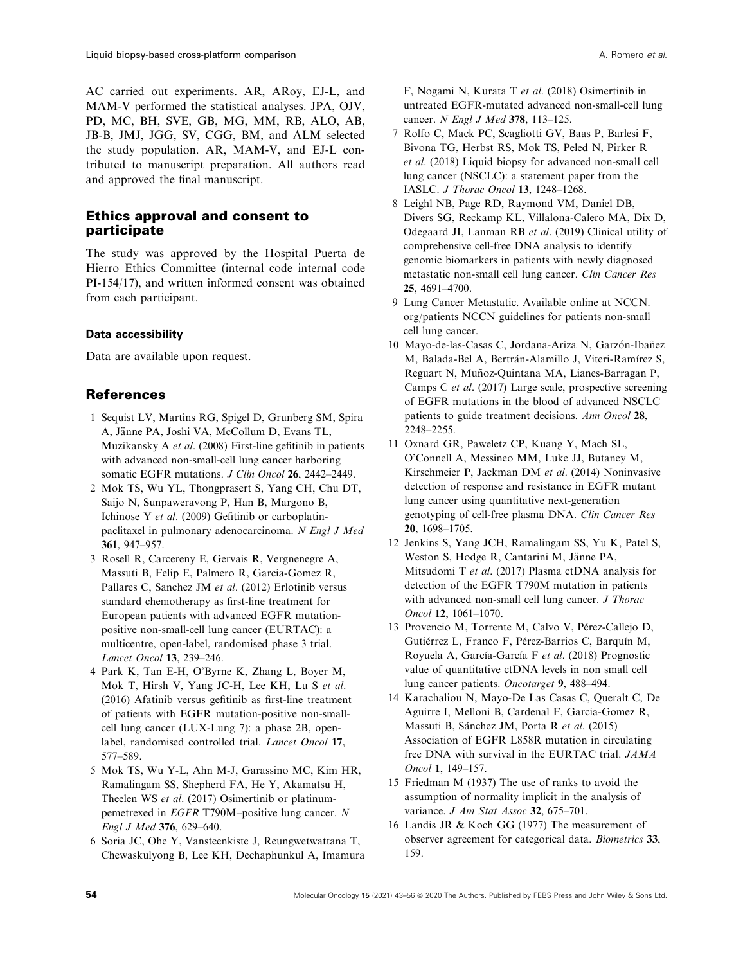<span id="page-11-0"></span>AC carried out experiments. AR, ARoy, EJ-L, and MAM-V performed the statistical analyses. JPA, OJV, PD, MC, BH, SVE, GB, MG, MM, RB, ALO, AB, JB-B, JMJ, JGG, SV, CGG, BM, and ALM selected the study population. AR, MAM-V, and EJ-L contributed to manuscript preparation. All authors read and approved the final manuscript.

# Ethics approval and consent to participate

The study was approved by the Hospital Puerta de Hierro Ethics Committee (internal code internal code PI-154/17), and written informed consent was obtained from each participant.

## Data accessibility

Data are available upon request.

# References

- 1 Sequist LV, Martins RG, Spigel D, Grunberg SM, Spira A, Jänne PA, Joshi VA, McCollum D, Evans TL, Muzikansky A et al. (2008) First-line gefitinib in patients with advanced non-small-cell lung cancer harboring somatic EGFR mutations. J Clin Oncol 26, 2442-2449.
- 2 Mok TS, Wu YL, Thongprasert S, Yang CH, Chu DT, Saijo N, Sunpaweravong P, Han B, Margono B, Ichinose Y et al. (2009) Gefitinib or carboplatinpaclitaxel in pulmonary adenocarcinoma. N Engl J Med 361, 947–957.
- 3 Rosell R, Carcereny E, Gervais R, Vergnenegre A, Massuti B, Felip E, Palmero R, Garcia-Gomez R, Pallares C, Sanchez JM et al. (2012) Erlotinib versus standard chemotherapy as first-line treatment for European patients with advanced EGFR mutationpositive non-small-cell lung cancer (EURTAC): a multicentre, open-label, randomised phase 3 trial. Lancet Oncol 13, 239–246.
- 4 Park K, Tan E-H, O'Byrne K, Zhang L, Boyer M, Mok T, Hirsh V, Yang JC-H, Lee KH, Lu S et al. (2016) Afatinib versus gefitinib as first-line treatment of patients with EGFR mutation-positive non-smallcell lung cancer (LUX-Lung 7): a phase 2B, openlabel, randomised controlled trial. Lancet Oncol 17, 577–589.
- 5 Mok TS, Wu Y-L, Ahn M-J, Garassino MC, Kim HR, Ramalingam SS, Shepherd FA, He Y, Akamatsu H, Theelen WS *et al.* (2017) Osimertinib or platinumpemetrexed in EGFR T790M–positive lung cancer. N Engl J Med 376, 629–640.
- 6 Soria JC, Ohe Y, Vansteenkiste J, Reungwetwattana T, Chewaskulyong B, Lee KH, Dechaphunkul A, Imamura

F, Nogami N, Kurata T et al. (2018) Osimertinib in untreated EGFR-mutated advanced non-small-cell lung cancer. N Engl J Med 378, 113-125.

- 7 Rolfo C, Mack PC, Scagliotti GV, Baas P, Barlesi F, Bivona TG, Herbst RS, Mok TS, Peled N, Pirker R et al. (2018) Liquid biopsy for advanced non-small cell lung cancer (NSCLC): a statement paper from the IASLC. J Thorac Oncol 13, 1248–1268.
- 8 Leighl NB, Page RD, Raymond VM, Daniel DB, Divers SG, Reckamp KL, Villalona-Calero MA, Dix D, Odegaard JI, Lanman RB et al. (2019) Clinical utility of comprehensive cell-free DNA analysis to identify genomic biomarkers in patients with newly diagnosed metastatic non-small cell lung cancer. Clin Cancer Res 25, 4691–4700.
- 9 Lung Cancer Metastatic. Available online at [NCCN.](http://NCCN.org/patients) [org/patients](http://NCCN.org/patients) NCCN guidelines for patients non-small cell lung cancer.
- 10 Mayo-de-las-Casas C, Jordana-Ariza N, Garzón-Ibañez M, Balada-Bel A, Bertrán-Alamillo J, Viteri-Ramírez S, Reguart N, Munoz-Quintana MA, Lianes-Barragan P, ~ Camps C et al. (2017) Large scale, prospective screening of EGFR mutations in the blood of advanced NSCLC patients to guide treatment decisions. Ann Oncol 28, 2248–2255.
- 11 Oxnard GR, Paweletz CP, Kuang Y, Mach SL, O'Connell A, Messineo MM, Luke JJ, Butaney M, Kirschmeier P, Jackman DM et al. (2014) Noninvasive detection of response and resistance in EGFR mutant lung cancer using quantitative next-generation genotyping of cell-free plasma DNA. Clin Cancer Res 20, 1698–1705.
- 12 Jenkins S, Yang JCH, Ramalingam SS, Yu K, Patel S, Weston S, Hodge R, Cantarini M, Jänne PA, Mitsudomi T et al. (2017) Plasma ctDNA analysis for detection of the EGFR T790M mutation in patients with advanced non-small cell lung cancer. J Thorac Oncol 12, 1061–1070.
- 13 Provencio M, Torrente M, Calvo V, Pérez-Callejo D, Gutiérrez L, Franco F, Pérez-Barrios C, Barquín M, Royuela A, García-García F et al. (2018) Prognostic value of quantitative ctDNA levels in non small cell lung cancer patients. Oncotarget 9, 488–494.
- 14 Karachaliou N, Mayo-De Las Casas C, Queralt C, De Aguirre I, Melloni B, Cardenal F, Garcia-Gomez R, Massuti B, Sánchez JM, Porta R et al. (2015) Association of EGFR L858R mutation in circulating free DNA with survival in the EURTAC trial. JAMA Oncol 1, 149–157.
- 15 Friedman M (1937) The use of ranks to avoid the assumption of normality implicit in the analysis of variance. J Am Stat Assoc 32, 675-701.
- 16 Landis JR & Koch GG (1977) The measurement of observer agreement for categorical data. Biometrics 33, 159.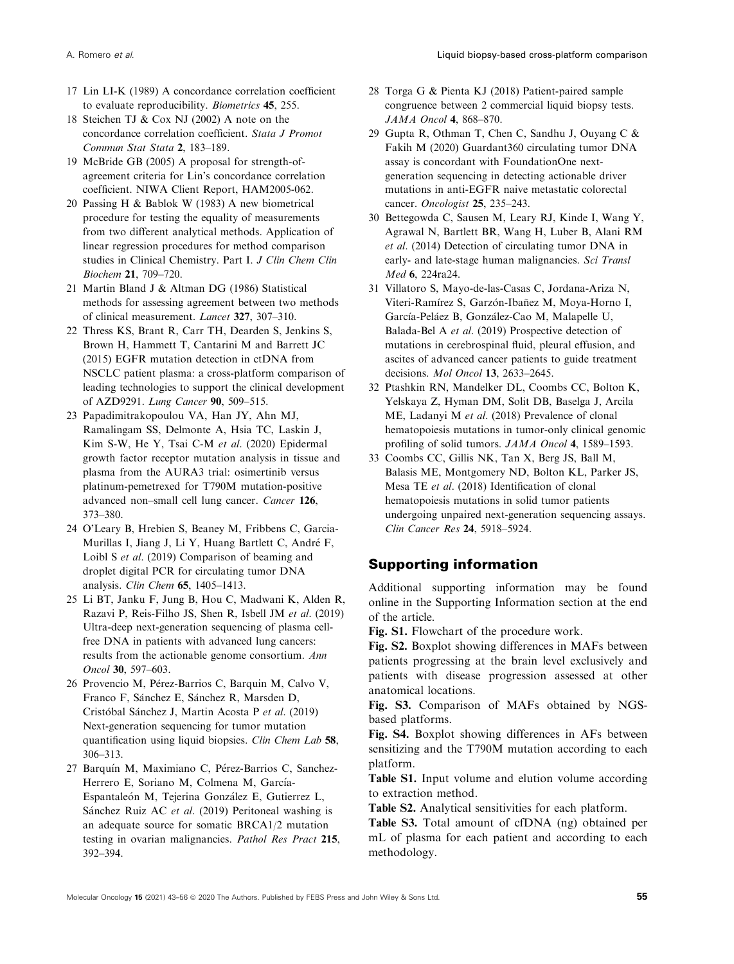- <span id="page-12-0"></span>17 Lin LI-K (1989) A concordance correlation coefficient to evaluate reproducibility. Biometrics 45, 255.
- 18 Steichen TJ & Cox NJ (2002) A note on the concordance correlation coefficient. Stata J Promot Commun Stat Stata 2, 183–189.
- 19 McBride GB (2005) A proposal for strength-ofagreement criteria for Lin's concordance correlation coefficient. NIWA Client Report, HAM2005-062.
- 20 Passing H & Bablok W (1983) A new biometrical procedure for testing the equality of measurements from two different analytical methods. Application of linear regression procedures for method comparison studies in Clinical Chemistry. Part I. J Clin Chem Clin Biochem 21, 709–720.
- 21 Martin Bland J & Altman DG (1986) Statistical methods for assessing agreement between two methods of clinical measurement. Lancet 327, 307–310.
- 22 Thress KS, Brant R, Carr TH, Dearden S, Jenkins S, Brown H, Hammett T, Cantarini M and Barrett JC (2015) EGFR mutation detection in ctDNA from NSCLC patient plasma: a cross-platform comparison of leading technologies to support the clinical development of AZD9291. Lung Cancer 90, 509–515.
- 23 Papadimitrakopoulou VA, Han JY, Ahn MJ, Ramalingam SS, Delmonte A, Hsia TC, Laskin J, Kim S-W, He Y, Tsai C-M et al. (2020) Epidermal growth factor receptor mutation analysis in tissue and plasma from the AURA3 trial: osimertinib versus platinum-pemetrexed for T790M mutation-positive advanced non–small cell lung cancer. Cancer 126, 373–380.
- 24 O'Leary B, Hrebien S, Beaney M, Fribbens C, Garcia-Murillas I, Jiang J, Li Y, Huang Bartlett C, Andre F, Loibl S et al. (2019) Comparison of beaming and droplet digital PCR for circulating tumor DNA analysis. Clin Chem 65, 1405–1413.
- 25 Li BT, Janku F, Jung B, Hou C, Madwani K, Alden R, Razavi P, Reis-Filho JS, Shen R, Isbell JM et al. (2019) Ultra-deep next-generation sequencing of plasma cellfree DNA in patients with advanced lung cancers: results from the actionable genome consortium. Ann Oncol 30, 597–603.
- 26 Provencio M, Pérez-Barrios C, Barquin M, Calvo V, Franco F, Sánchez E, Sánchez R, Marsden D, Cristóbal Sánchez J, Martin Acosta P et al. (2019) Next-generation sequencing for tumor mutation quantification using liquid biopsies. Clin Chem Lab 58, 306–313.
- 27 Barquín M, Maximiano C, Pérez-Barrios C, Sanchez-Herrero E, Soriano M, Colmena M, García-Espantaleón M, Tejerina González E, Gutierrez L, Sánchez Ruiz AC et al. (2019) Peritoneal washing is an adequate source for somatic BRCA1/2 mutation testing in ovarian malignancies. Pathol Res Pract 215, 392–394.
- 28 Torga G & Pienta KJ (2018) Patient-paired sample congruence between 2 commercial liquid biopsy tests. JAMA Oncol 4, 868–870.
- 29 Gupta R, Othman T, Chen C, Sandhu J, Ouyang C & Fakih M (2020) Guardant360 circulating tumor DNA assay is concordant with FoundationOne nextgeneration sequencing in detecting actionable driver mutations in anti-EGFR naive metastatic colorectal cancer. Oncologist 25, 235-243.
- 30 Bettegowda C, Sausen M, Leary RJ, Kinde I, Wang Y, Agrawal N, Bartlett BR, Wang H, Luber B, Alani RM et al. (2014) Detection of circulating tumor DNA in early- and late-stage human malignancies. Sci Transl Med 6, 224ra24.
- 31 Villatoro S, Mayo-de-las-Casas C, Jordana-Ariza N, Viteri-Ramírez S, Garzón-Ibañez M, Moya-Horno I, García-Peláez B, González-Cao M, Malapelle U, Balada-Bel A et al. (2019) Prospective detection of mutations in cerebrospinal fluid, pleural effusion, and ascites of advanced cancer patients to guide treatment decisions. Mol Oncol 13, 2633–2645.
- 32 Ptashkin RN, Mandelker DL, Coombs CC, Bolton K, Yelskaya Z, Hyman DM, Solit DB, Baselga J, Arcila ME, Ladanyi M et al. (2018) Prevalence of clonal hematopoiesis mutations in tumor-only clinical genomic profiling of solid tumors. JAMA Oncol 4, 1589–1593.
- 33 Coombs CC, Gillis NK, Tan X, Berg JS, Ball M, Balasis ME, Montgomery ND, Bolton KL, Parker JS, Mesa TE et al. (2018) Identification of clonal hematopoiesis mutations in solid tumor patients undergoing unpaired next-generation sequencing assays. Clin Cancer Res 24, 5918–5924.

# Supporting information

Additional supporting information may be found online in the Supporting Information section at the end of the article.

Fig. S1. Flowchart of the procedure work.

Fig. S2. Boxplot showing differences in MAFs between patients progressing at the brain level exclusively and patients with disease progression assessed at other anatomical locations.

Fig. S3. Comparison of MAFs obtained by NGSbased platforms.

Fig. S4. Boxplot showing differences in AFs between sensitizing and the T790M mutation according to each platform.

Table S1. Input volume and elution volume according to extraction method.

Table S2. Analytical sensitivities for each platform.

Table S3. Total amount of cfDNA (ng) obtained per mL of plasma for each patient and according to each methodology.